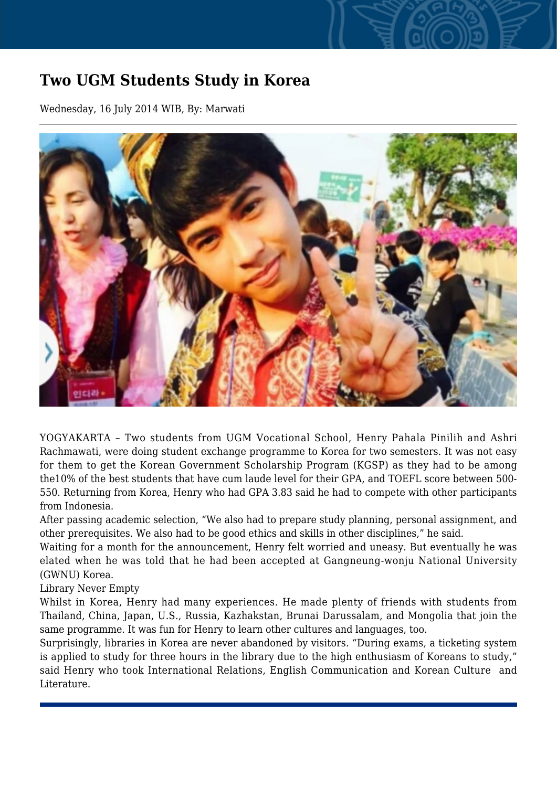## **Two UGM Students Study in Korea**

Wednesday, 16 July 2014 WIB, By: Marwati



YOGYAKARTA – Two students from UGM Vocational School, Henry Pahala Pinilih and Ashri Rachmawati, were doing student exchange programme to Korea for two semesters. It was not easy for them to get the Korean Government Scholarship Program (KGSP) as they had to be among the10% of the best students that have cum laude level for their GPA, and TOEFL score between 500- 550. Returning from Korea, Henry who had GPA 3.83 said he had to compete with other participants from Indonesia.

After passing academic selection, "We also had to prepare study planning, personal assignment, and other prerequisites. We also had to be good ethics and skills in other disciplines," he said.

Waiting for a month for the announcement, Henry felt worried and uneasy. But eventually he was elated when he was told that he had been accepted at Gangneung-wonju National University (GWNU) Korea.

Library Never Empty

Whilst in Korea, Henry had many experiences. He made plenty of friends with students from Thailand, China, Japan, U.S., Russia, Kazhakstan, Brunai Darussalam, and Mongolia that join the same programme. It was fun for Henry to learn other cultures and languages, too.

Surprisingly, libraries in Korea are never abandoned by visitors. "During exams, a ticketing system is applied to study for three hours in the library due to the high enthusiasm of Koreans to study," said Henry who took International Relations, English Communication and Korean Culture and Literature.